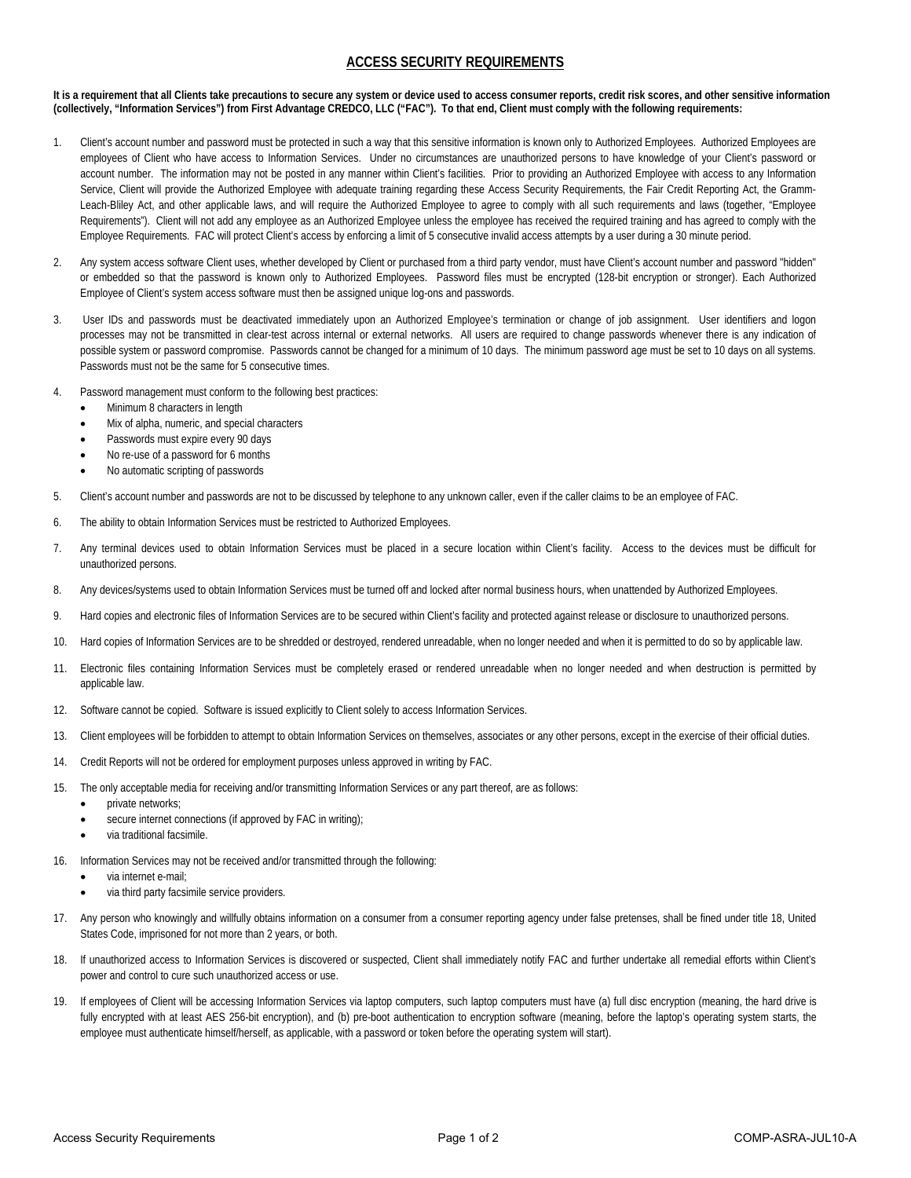# **ACCESS SECURITY REQUIREMENTS**

**It is a requirement that all Clients take precautions to secure any system or device used to access consumer reports, credit risk scores, and other sensitive information (collectively, "Information Services") from First Advantage CREDCO, LLC ("FAC"). To that end, Client must comply with the following requirements:** 

- 1. Client's account number and password must be protected in such a way that this sensitive information is known only to Authorized Employees. Authorized Employees are employees of Client who have access to Information Services. Under no circumstances are unauthorized persons to have knowledge of your Client's password or account number. The information may not be posted in any manner within Client's facilities. Prior to providing an Authorized Employee with access to any Information Service, Client will provide the Authorized Employee with adequate training regarding these Access Security Requirements, the Fair Credit Reporting Act, the Gramm-Leach-Bliley Act, and other applicable laws, and will require the Authorized Employee to agree to comply with all such requirements and laws (together, "Employee Requirements"). Client will not add any employee as an Authorized Employee unless the employee has received the required training and has agreed to comply with the Employee Requirements. FAC will protect Client's access by enforcing a limit of 5 consecutive invalid access attempts by a user during a 30 minute period.
- 2. Any system access software Client uses, whether developed by Client or purchased from a third party vendor, must have Client's account number and password "hidden" or embedded so that the password is known only to Authorized Employees. Password files must be encrypted (128-bit encryption or stronger). Each Authorized Employee of Client's system access software must then be assigned unique log-ons and passwords.
- 3. User IDs and passwords must be deactivated immediately upon an Authorized Employee's termination or change of job assignment. User identifiers and logon processes may not be transmitted in clear-test across internal or external networks. All users are required to change passwords whenever there is any indication of possible system or password compromise. Passwords cannot be changed for a minimum of 10 days. The minimum password age must be set to 10 days on all systems. Passwords must not be the same for 5 consecutive times.
- 4. Password management must conform to the following best practices:
	- Minimum 8 characters in length
	- Mix of alpha, numeric, and special characters
	- Passwords must expire every 90 days
	- No re-use of a password for 6 months
	- No automatic scripting of passwords
- 5. Client's account number and passwords are not to be discussed by telephone to any unknown caller, even if the caller claims to be an employee of FAC.
- 6. The ability to obtain Information Services must be restricted to Authorized Employees.
- 7. Any terminal devices used to obtain Information Services must be placed in a secure location within Client's facility. Access to the devices must be difficult for unauthorized persons.
- 8. Any devices/systems used to obtain Information Services must be turned off and locked after normal business hours, when unattended by Authorized Employees.
- 9. Hard copies and electronic files of Information Services are to be secured within Client's facility and protected against release or disclosure to unauthorized persons.
- 10. Hard copies of Information Services are to be shredded or destroyed, rendered unreadable, when no longer needed and when it is permitted to do so by applicable law.
- 11. Electronic files containing Information Services must be completely erased or rendered unreadable when no longer needed and when destruction is permitted by applicable law.
- 12. Software cannot be copied. Software is issued explicitly to Client solely to access Information Services.
- 13. Client employees will be forbidden to attempt to obtain Information Services on themselves, associates or any other persons, except in the exercise of their official duties.
- 14. Credit Reports will not be ordered for employment purposes unless approved in writing by FAC.
- 15. The only acceptable media for receiving and/or transmitting Information Services or any part thereof, are as follows:
	- private networks;
	- secure internet connections (if approved by FAC in writing);
	- via traditional facsimile.
- 16. Information Services may not be received and/or transmitted through the following:
	- via internet e-mail;
	- via third party facsimile service providers.
- 17. Any person who knowingly and willfully obtains information on a consumer from a consumer reporting agency under false pretenses, shall be fined under title 18, United States Code, imprisoned for not more than 2 years, or both.
- 18. If unauthorized access to Information Services is discovered or suspected, Client shall immediately notify FAC and further undertake all remedial efforts within Client's power and control to cure such unauthorized access or use.
- 19. If employees of Client will be accessing Information Services via laptop computers, such laptop computers must have (a) full disc encryption (meaning, the hard drive is fully encrypted with at least AES 256-bit encryption), and (b) pre-boot authentication to encryption software (meaning, before the laptop's operating system starts, the employee must authenticate himself/herself, as applicable, with a password or token before the operating system will start).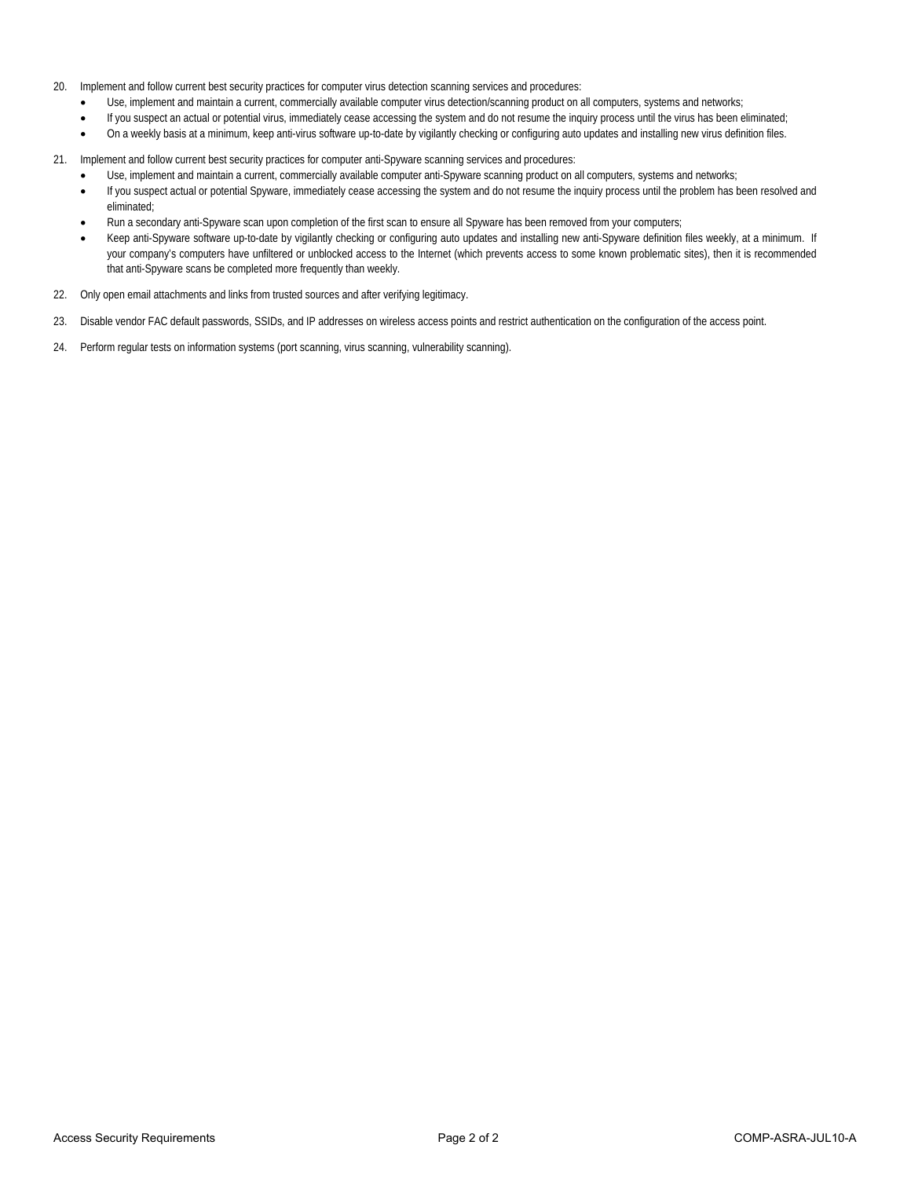- 20. Implement and follow current best security practices for computer virus detection scanning services and procedures:
	- Use, implement and maintain a current, commercially available computer virus detection/scanning product on all computers, systems and networks;
	- If you suspect an actual or potential virus, immediately cease accessing the system and do not resume the inquiry process until the virus has been eliminated;
	- On a weekly basis at a minimum, keep anti-virus software up-to-date by vigilantly checking or configuring auto updates and installing new virus definition files.
- 21. Implement and follow current best security practices for computer anti-Spyware scanning services and procedures:
	- Use, implement and maintain a current, commercially available computer anti-Spyware scanning product on all computers, systems and networks;
	- If you suspect actual or potential Spyware, immediately cease accessing the system and do not resume the inquiry process until the problem has been resolved and eliminated;
	- Run a secondary anti-Spyware scan upon completion of the first scan to ensure all Spyware has been removed from your computers;
	- Keep anti-Spyware software up-to-date by vigilantly checking or configuring auto updates and installing new anti-Spyware definition files weekly, at a minimum. If your company's computers have unfiltered or unblocked access to the Internet (which prevents access to some known problematic sites), then it is recommended that anti-Spyware scans be completed more frequently than weekly.
- 22. Only open email attachments and links from trusted sources and after verifying legitimacy.
- 23. Disable vendor FAC default passwords, SSIDs, and IP addresses on wireless access points and restrict authentication on the configuration of the access point.
- 24. Perform regular tests on information systems (port scanning, virus scanning, vulnerability scanning).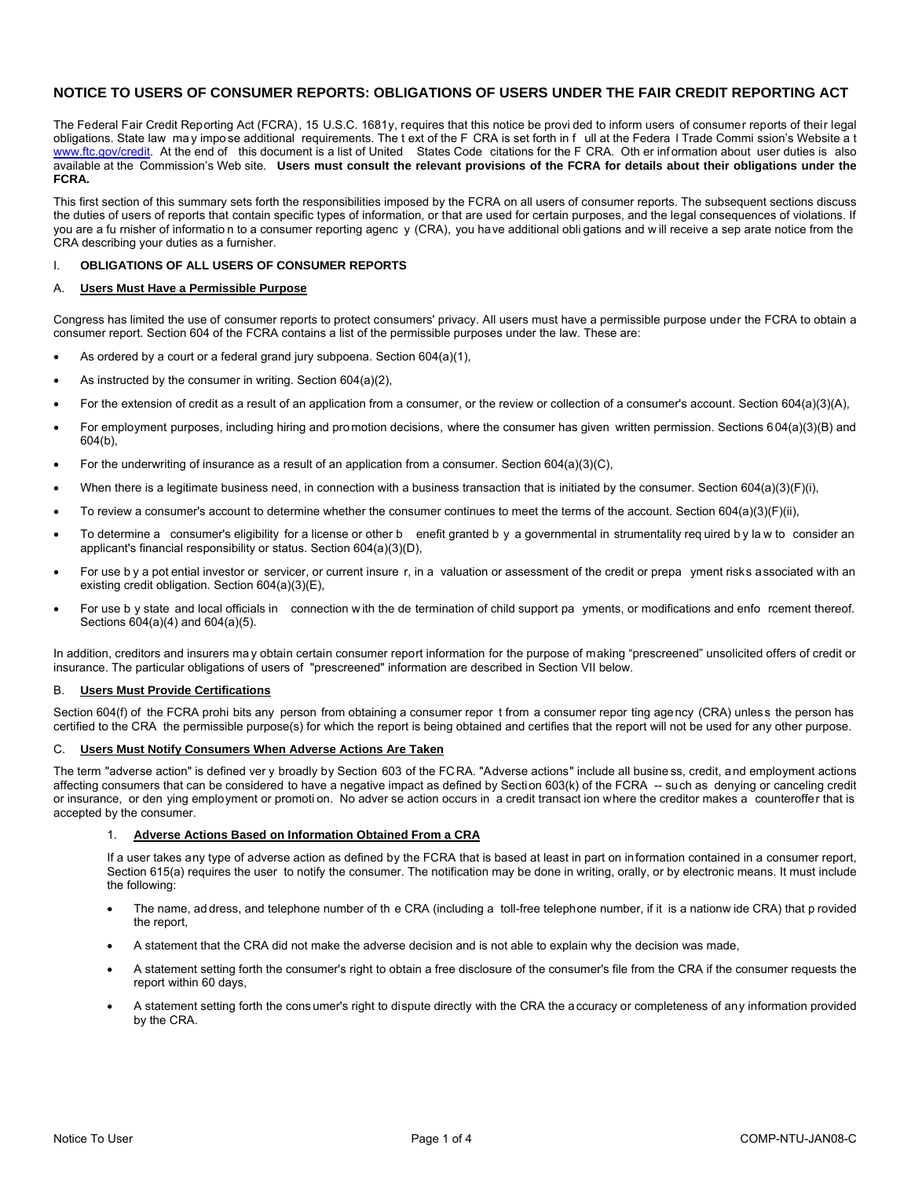# **NOTICE TO USERS OF CONSUMER REPORTS: OBLIGATIONS OF USERS UNDER THE FAIR CREDIT REPORTING ACT**

The Federal Fair Credit Reporting Act (FCRA), 15 U.S.C. 1681y, requires that this notice be provi ded to inform users of consumer reports of their legal obligations. State law ma y impo se additional requirements. The t ext of the F CRA is set forth in f ull at the Federa l Trade Commi ssion's Website a t www.ftc.gov/credit. At the end of this document is a list of United States Code citations for the F CRA. Oth er information about user duties is also available at the Commission's Web site. **Users must consult the relevant provisions of the FCRA for details about their obligations under the FCRA.** 

This first section of this summary sets forth the responsibilities imposed by the FCRA on all users of consumer reports. The subsequent sections discuss the duties of users of reports that contain specific types of information, or that are used for certain purposes, and the legal consequences of violations. If you are a fu rnisher of informatio n to a consumer reporting agenc y (CRA), you have additional obli gations and w ill receive a sep arate notice from the CRA describing your duties as a furnisher.

# I. **OBLIGATIONS OF ALL USERS OF CONSUMER REPORTS**

### A. **Users Must Have a Permissible Purpose**

Congress has limited the use of consumer reports to protect consumers' privacy. All users must have a permissible purpose under the FCRA to obtain a consumer report. Section 604 of the FCRA contains a list of the permissible purposes under the law. These are:

- As ordered by a court or a federal grand jury subpoena. Section 604(a)(1),
- As instructed by the consumer in writing. Section  $604(a)(2)$ ,
- For the extension of credit as a result of an application from a consumer, or the review or collection of a consumer's account. Section 604(a)(3)(A),
- For employment purposes, including hiring and pro motion decisions, where the consumer has given written permission. Sections 604(a)(3)(B) and 604(b),
- For the underwriting of insurance as a result of an application from a consumer. Section 604(a)(3)(C),
- When there is a legitimate business need, in connection with a business transaction that is initiated by the consumer. Section 604(a)(3)(F)(i),
- To review a consumer's account to determine whether the consumer continues to meet the terms of the account. Section 604(a)(3)(F)(ii),
- To determine a consumer's eligibility for a license or other b enefit granted b y a governmental in strumentality req uired b y la w to consider an applicant's financial responsibility or status. Section 604(a)(3)(D),
- For use b y a pot ential investor or servicer, or current insure r, in a valuation or assessment of the credit or prepa yment risks associated with an existing credit obligation. Section 604(a)(3)(E),
- For use b y state and local officials in connection w ith the de termination of child support pa yments, or modifications and enfo rcement thereof. Sections 604(a)(4) and 604(a)(5).

In addition, creditors and insurers ma y obtain certain consumer report information for the purpose of making "prescreened" unsolicited offers of credit or insurance. The particular obligations of users of "prescreened" information are described in Section VII below.

#### **Users Must Provide Certifications**

Section 604(f) of the FCRA prohi bits any person from obtaining a consumer repor t from a consumer repor ting agency (CRA) unless the person has certified to the CRA the permissible purpose(s) for which the report is being obtained and certifies that the report will not be used for any other purpose.

#### C. **Users Must Notify Consumers When Adverse Actions Are Taken**

The term "adverse action" is defined ver y broadly by Section 603 of the FCRA. "Adverse actions" include all busine ss, credit, and employment actions affecting consumers that can be considered to have a negative impact as defined by Section 603(k) of the FCRA -- such as denying or canceling credit or insurance, or den ying employment or promoti on. No adver se action occurs in a credit transact ion where the creditor makes a counteroffer that is accepted by the consumer.

#### 1. **Adverse Actions Based on Information Obtained From a CRA**

If a user takes any type of adverse action as defined by the FCRA that is based at least in part on information contained in a consumer report, Section 615(a) requires the user to notify the consumer. The notification may be done in writing, orally, or by electronic means. It must include the following:

- The name, ad dress, and telephone number of th e CRA (including a toll-free telephone number, if it is a nationw ide CRA) that p rovided the report,
- A statement that the CRA did not make the adverse decision and is not able to explain why the decision was made,
- A statement setting forth the consumer's right to obtain a free disclosure of the consumer's file from the CRA if the consumer requests the report within 60 days,
- A statement setting forth the cons umer's right to dispute directly with the CRA the accuracy or completeness of any information provided by the CRA.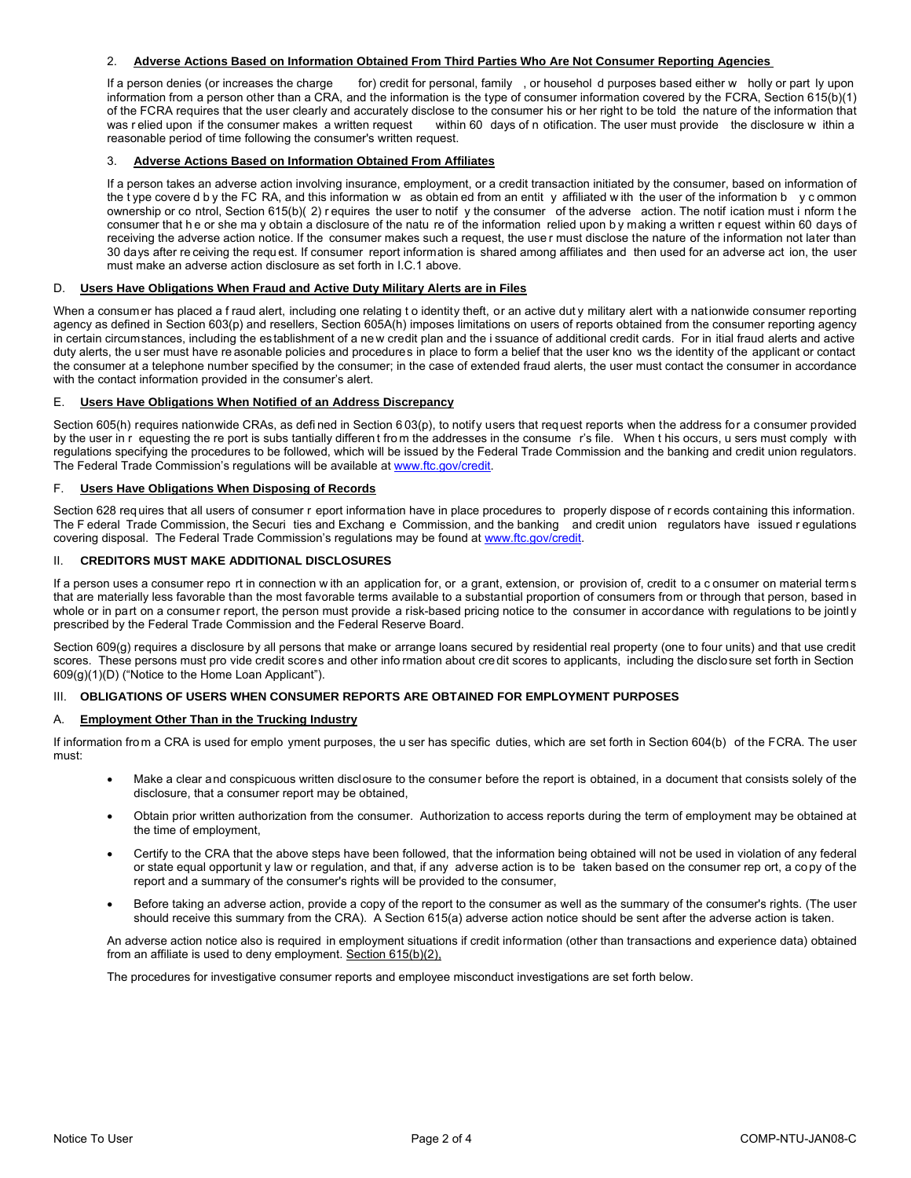#### 2. **Adverse Actions Based on Information Obtained From Third Parties Who Are Not Consumer Reporting Agencies**

If a person denies (or increases the charge for) credit for personal, family , or househol d purposes based either w holly or part ly upon information from a person other than a CRA, and the information is the type of consumer information covered by the FCRA, Section 615(b)(1) of the FCRA requires that the user clearly and accurately disclose to the consumer his or her right to be told the nature of the information that was r elied upon if the consumer makes a written request within 60 days of n otification. The user must provide the disclosure w ithin a reasonable period of time following the consumer's written request.

#### 3. **Adverse Actions Based on Information Obtained From Affiliates**

If a person takes an adverse action involving insurance, employment, or a credit transaction initiated by the consumer, based on information of the t ype covere d b y the FC RA, and this information w as obtain ed from an entit y affiliated w ith the user of the information b y c ommon ownership or co ntrol, Section 615(b)(2) r equires the user to notif y the consumer of the adverse action. The notif ication must i nform the consumer that he or she ma y obtain a disclosure of the natu re of the information relied upon by making a written r equest within 60 days of receiving the adverse action notice. If the consumer makes such a request, the use r must disclose the nature of the information not later than 30 days after re ceiving the requ est. If consumer report information is shared among affiliates and then used for an adverse act ion, the user must make an adverse action disclosure as set forth in I.C.1 above.

#### D. **Users Have Obligations When Fraud and Active Duty Military Alerts are in Files**

When a consumer has placed a fraud alert, including one relating to identity theft, or an active dut y military alert with a nationwide consumer reporting agency as defined in Section 603(p) and resellers, Section 605A(h) imposes limitations on users of reports obtained from the consumer reporting agency in certain circumstances, including the establishment of a ne w credit plan and the i ssuance of additional credit cards. For in itial fraud alerts and active duty alerts, the u ser must have re asonable policies and procedures in place to form a belief that the user kno ws the identity of the applicant or contact the consumer at a telephone number specified by the consumer; in the case of extended fraud alerts, the user must contact the consumer in accordance with the contact information provided in the consumer's alert.

#### E. **Users Have Obligations When Notified of an Address Discrepancy**

Section 605(h) requires nationwide CRAs, as defined in Section 603(p), to notify users that request reports when the address for a consumer provided by the user in r equesting the re port is subs tantially differen t fro m the addresses in the consume r's file. When t his occurs, u sers must comply with regulations specifying the procedures to be followed, which will be issued by the Federal Trade Commission and the banking and credit union regulators. The Federal Trade Commission's regulations will be available at www.ftc.gov/credit.

### F. **Users Have Obligations When Disposing of Records**

Section 628 requires that all users of consumer r eport information have in place procedures to properly dispose of records containing this information. The F ederal Trade Commission, the Securi ties and Exchang e Commission, and the banking and credit union regulators have issued r egulations covering disposal. The Federal Trade Commission's regulations may be found at www.ftc.gov/credit.

#### II. **CREDITORS MUST MAKE ADDITIONAL DISCLOSURES**

If a person uses a consumer repo rt in connection w ith an application for, or a grant, extension, or provision of, credit to a c onsumer on material term s that are materially less favorable than the most favorable terms available to a substantial proportion of consumers from or through that person, based in whole or in part on a consumer report, the person must provide a risk-based pricing notice to the consumer in accordance with regulations to be jointly prescribed by the Federal Trade Commission and the Federal Reserve Board.

Section 609(g) requires a disclosure by all persons that make or arrange loans secured by residential real property (one to four units) and that use credit scores. These persons must pro vide credit scores and other info rmation about credit scores to applicants, including the disclosure set forth in Section 609(g)(1)(D) ("Notice to the Home Loan Applicant").

#### III. **OBLIGATIONS OF USERS WHEN CONSUMER REPORTS ARE OBTAINED FOR EMPLOYMENT PURPOSES**

#### A. **Employment Other Than in the Trucking Industry**

If information fro m a CRA is used for emplo yment purposes, the u ser has specific duties, which are set forth in Section 604(b) of the FCRA. The user must:

- Make a clear and conspicuous written disclosure to the consumer before the report is obtained, in a document that consists solely of the disclosure, that a consumer report may be obtained,
- Obtain prior written authorization from the consumer. Authorization to access reports during the term of employment may be obtained at the time of employment,
- Certify to the CRA that the above steps have been followed, that the information being obtained will not be used in violation of any federal or state equal opportunit y law or regulation, and that, if any adverse action is to be taken based on the consumer rep ort, a co py of the report and a summary of the consumer's rights will be provided to the consumer,
- Before taking an adverse action, provide a copy of the report to the consumer as well as the summary of the consumer's rights. (The user should receive this summary from the CRA). A Section 615(a) adverse action notice should be sent after the adverse action is taken.

An adverse action notice also is required in employment situations if credit information (other than transactions and experience data) obtained from an affiliate is used to deny employment. Section 615(b)(2),

The procedures for investigative consumer reports and employee misconduct investigations are set forth below.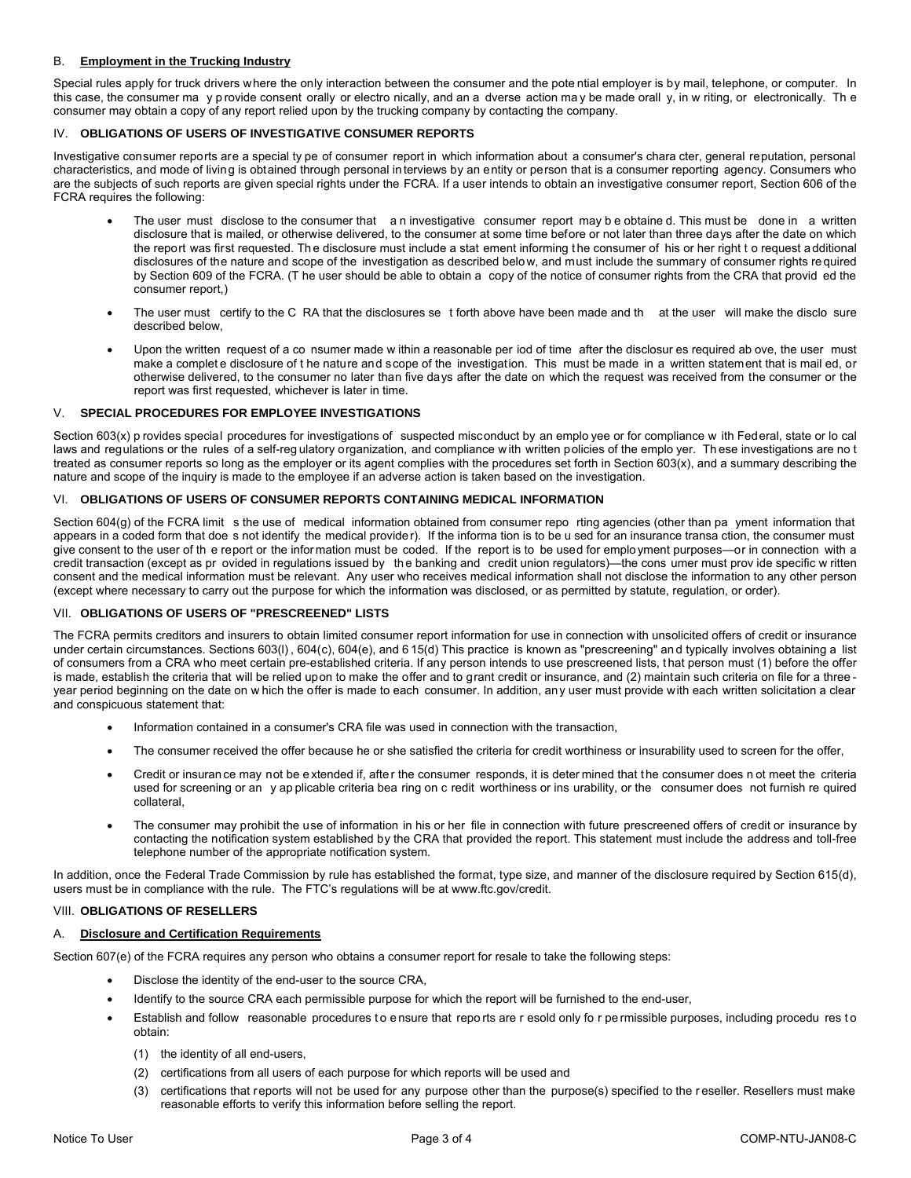# B. **Employment in the Trucking Industry**

Special rules apply for truck drivers where the only interaction between the consumer and the pote ntial employer is by mail, telephone, or computer. In this case, the consumer ma y p rovide consent orally or electro nically, and an a dverse action ma y be made orall y, in w riting, or electronically. Th e consumer may obtain a copy of any report relied upon by the trucking company by contacting the company.

# IV. **OBLIGATIONS OF USERS OF INVESTIGATIVE CONSUMER REPORTS**

Investigative consumer reports are a special ty pe of consumer report in which information about a consumer's chara cter, general reputation, personal characteristics, and mode of living is obtained through personal in terviews by an entity or person that is a consumer reporting agency. Consumers who are the subjects of such reports are given special rights under the FCRA. If a user intends to obtain an investigative consumer report, Section 606 of the FCRA requires the following:

- The user must disclose to the consumer that an investigative consumer report may be obtaine d. This must be done in a written disclosure that is mailed, or otherwise delivered, to the consumer at some time before or not later than three days after the date on which the report was first requested. The disclosure must include a stat ement informing the consumer of his or her right t o request a dditional disclosures of the nature and scope of the investigation as described belo w, and must include the summary of consumer rights required by Section 609 of the FCRA. (T he user should be able to obtain a copy of the notice of consumer rights from the CRA that provid ed the consumer report,)
- The user must certify to the C RA that the disclosures se t forth above have been made and th at the user will make the disclo sure described below,
- Upon the written request of a co nsumer made w ithin a reasonable per iod of time after the disclosur es required ab ove, the user must make a complet e disclosure of t he nature and scope of the investigation. This must be made in a written statement that is mail ed, or otherwise delivered, to the consumer no later than five days after the date on which the request was received from the consumer or the report was first requested, whichever is later in time.

# V. **SPECIAL PROCEDURES FOR EMPLOYEE INVESTIGATIONS**

Section 603(x) p rovides special procedures for investigations of suspected misconduct by an emplo yee or for compliance w ith Federal, state or lo cal laws and regulations or the rules of a self-reg ulatory organization, and compliance w ith written policies of the emplo yer. Th ese investigations are no t treated as consumer reports so long as the employer or its agent complies with the procedures set forth in Section 603(x), and a summary describing the nature and scope of the inquiry is made to the employee if an adverse action is taken based on the investigation.

## VI. **OBLIGATIONS OF USERS OF CONSUMER REPORTS CONTAINING MEDICAL INFORMATION**

Section  $604(g)$  of the FCRA limit s the use of medical information obtained from consumer repo rting agencies (other than pa yment information that appears in a coded form that doe s not identify the medical provider). If the informa tion is to be u sed for an insurance transa ction, the consumer must give consent to the user of th e report or the information must be coded. If the report is to be used for emplo yment purposes—or in connection with a credit transaction (except as pr ovided in regulations issued by the banking and credit union regulators)—the cons umer must prov ide specific w ritten consent and the medical information must be relevant. Any user who receives medical information shall not disclose the information to any other person (except where necessary to carry out the purpose for which the information was disclosed, or as permitted by statute, regulation, or order).

# VII. **OBLIGATIONS OF USERS OF "PRESCREENED" LISTS**

The FCRA permits creditors and insurers to obtain limited consumer report information for use in connection with unsolicited offers of credit or insurance under certain circumstances. Sections 603(I), 604(c), 604(e), and 615(d) This practice is known as "prescreening" and typically involves obtaining a list of consumers from a CRA who meet certain pre-established criteria. If any person intends to use prescreened lists, t hat person must (1) before the offer is made, establish the criteria that will be relied upon to make the offer and to grant credit or insurance, and (2) maintain such criteria on file for a three year period beginning on the date on w hich the offer is made to each consumer. In addition, any user must provide with each written solicitation a clear and conspicuous statement that:

- Information contained in a consumer's CRA file was used in connection with the transaction,
- The consumer received the offer because he or she satisfied the criteria for credit worthiness or insurability used to screen for the offer,
- Credit or insuran ce may not be e xtended if, afte r the consumer responds, it is deter mined that the consumer does n ot meet the criteria used for screening or an y ap plicable criteria bea ring on c redit worthiness or ins urability, or the consumer does not furnish re quired collateral,
- The consumer may prohibit the use of information in his or her file in connection with future prescreened offers of credit or insurance by contacting the notification system established by the CRA that provided the report. This statement must include the address and toll-free telephone number of the appropriate notification system.

In addition, once the Federal Trade Commission by rule has established the format, type size, and manner of the disclosure required by Section 615(d), users must be in compliance with the rule. The FTC's regulations will be at www.ftc.gov/credit.

## VIII. **OBLIGATIONS OF RESELLERS**

# A. **Disclosure and Certification Requirements**

Section 607(e) of the FCRA requires any person who obtains a consumer report for resale to take the following steps:

- Disclose the identity of the end-user to the source CRA,
- Identify to the source CRA each permissible purpose for which the report will be furnished to the end-user,
- Establish and follow reasonable procedures to ensure that reports are r esold only for permissible purposes, including procedu res to obtain:
	- (1) the identity of all end-users,
	- (2) certifications from all users of each purpose for which reports will be used and
	- (3) certifications that reports will not be used for any purpose other than the purpose(s) specified to the r eseller. Resellers must make reasonable efforts to verify this information before selling the report.